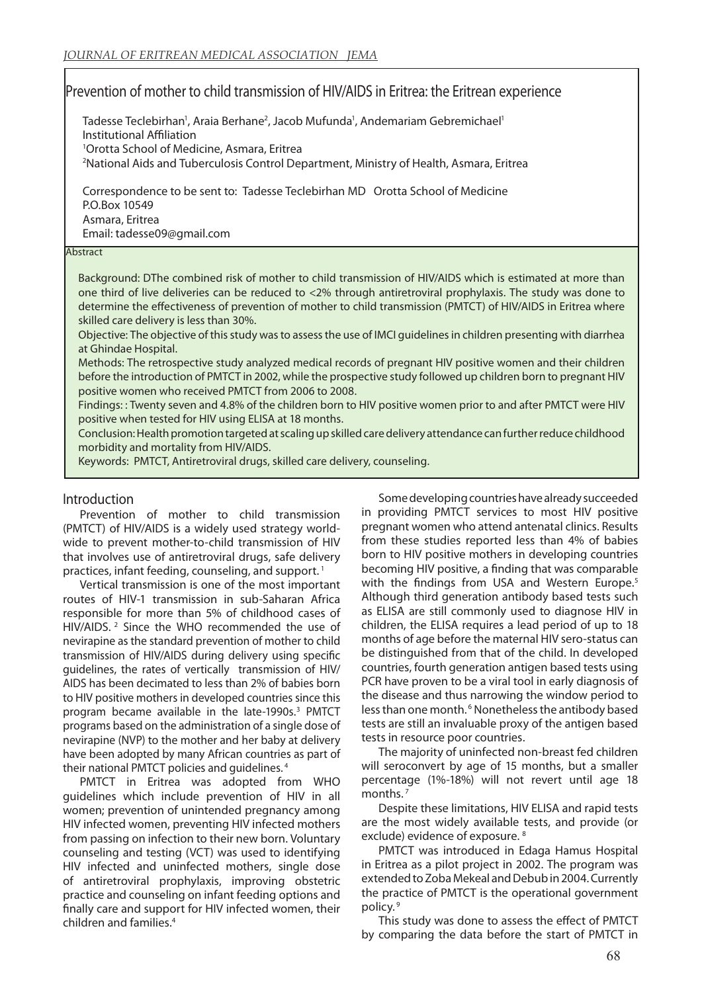# Prevention of mother to child transmission of HIV/AIDS in Eritrea: the Eritrean experience

Tadesse Teclebirhan<sup>1</sup>, Araia Berhane<sup>2</sup>, Jacob Mufunda<sup>1</sup>, Andemariam Gebremichael<sup>1</sup> Institutional Affiliation 1 Orotta School of Medicine, Asmara, Eritrea

2 National Aids and Tuberculosis Control Department, Ministry of Health, Asmara, Eritrea

Correspondence to be sent to: Tadesse Teclebirhan MD Orotta School of Medicine P.O.Box 10549 Asmara, Eritrea Email: tadesse09@gmail.com

#### Abstract

Background: DThe combined risk of mother to child transmission of HIV/AIDS which is estimated at more than one third of live deliveries can be reduced to <2% through antiretroviral prophylaxis. The study was done to determine the effectiveness of prevention of mother to child transmission (PMTCT) of HIV/AIDS in Eritrea where skilled care delivery is less than 30%.

Objective: The objective of this study was to assess the use of IMCI guidelines in children presenting with diarrhea at Ghindae Hospital.

Methods: The retrospective study analyzed medical records of pregnant HIV positive women and their children before the introduction of PMTCT in 2002, while the prospective study followed up children born to pregnant HIV positive women who received PMTCT from 2006 to 2008.

Findings: : Twenty seven and 4.8% of the children born to HIV positive women prior to and after PMTCT were HIV positive when tested for HIV using ELISA at 18 months.

Conclusion: Health promotion targeted at scaling up skilled care delivery attendance can further reduce childhood morbidity and mortality from HIV/AIDS.

Keywords: PMTCT, Antiretroviral drugs, skilled care delivery, counseling.

# Introduction

Prevention of mother to child transmission (PMTCT) of HIV/AIDS is a widely used strategy worldwide to prevent mother-to-child transmission of HIV that involves use of antiretroviral drugs, safe delivery practices, infant feeding, counseling, and support.<sup>1</sup>

Vertical transmission is one of the most important routes of HIV-1 transmission in sub-Saharan Africa responsible for more than 5% of childhood cases of HIV/AIDS. 2 Since the WHO recommended the use of nevirapine as the standard prevention of mother to child transmission of HIV/AIDS during delivery using specific guidelines, the rates of vertically transmission of HIV/ AIDS has been decimated to less than 2% of babies born to HIV positive mothers in developed countries since this program became available in the late-1990s.<sup>3</sup> PMTCT programs based on the administration of a single dose of nevirapine (NVP) to the mother and her baby at delivery have been adopted by many African countries as part of their national PMTCT policies and guidelines. 4

PMTCT in Eritrea was adopted from WHO guidelines which include prevention of HIV in all women; prevention of unintended pregnancy among HIV infected women, preventing HIV infected mothers from passing on infection to their new born. Voluntary counseling and testing (VCT) was used to identifying HIV infected and uninfected mothers, single dose of antiretroviral prophylaxis, improving obstetric practice and counseling on infant feeding options and finally care and support for HIV infected women, their children and families.4

Some developing countries have already succeeded in providing PMTCT services to most HIV positive pregnant women who attend antenatal clinics. Results from these studies reported less than 4% of babies born to HIV positive mothers in developing countries becoming HIV positive, a finding that was comparable with the findings from USA and Western Europe.<sup>5</sup> Although third generation antibody based tests such as ELISA are still commonly used to diagnose HIV in children, the ELISA requires a lead period of up to 18 months of age before the maternal HIV sero-status can be distinguished from that of the child. In developed countries, fourth generation antigen based tests using PCR have proven to be a viral tool in early diagnosis of the disease and thus narrowing the window period to less than one month.<sup>6</sup> Nonetheless the antibody based tests are still an invaluable proxy of the antigen based tests in resource poor countries.

The majority of uninfected non-breast fed children will seroconvert by age of 15 months, but a smaller percentage (1%-18%) will not revert until age 18 months.<sup>7</sup>

Despite these limitations, HIV ELISA and rapid tests are the most widely available tests, and provide (or exclude) evidence of exposure. 8

PMTCT was introduced in Edaga Hamus Hospital in Eritrea as a pilot project in 2002. The program was extended to Zoba Mekeal and Debub in 2004. Currently the practice of PMTCT is the operational government policy. 9

This study was done to assess the effect of PMTCT by comparing the data before the start of PMTCT in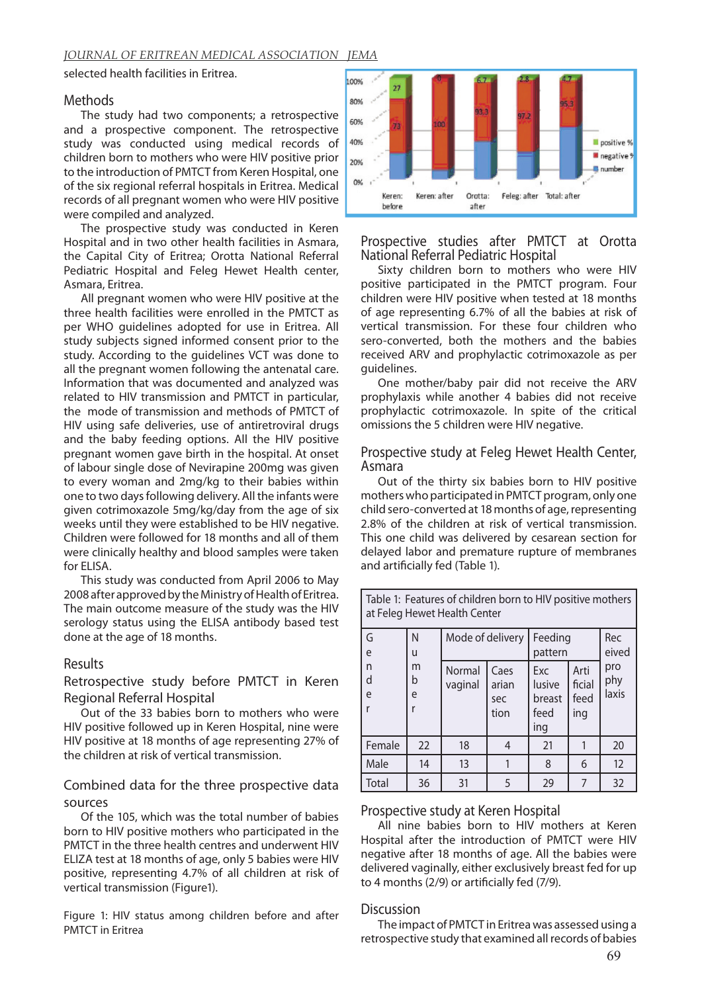#### *JOURNAL OF ERITREAN MEDICAL ASSOCIATION JEMA*

selected health facilities in Eritrea.

#### Methods

The study had two components; a retrospective and a prospective component. The retrospective study was conducted using medical records of children born to mothers who were HIV positive prior to the introduction of PMTCT from Keren Hospital, one of the six regional referral hospitals in Eritrea. Medical records of all pregnant women who were HIV positive were compiled and analyzed.

The prospective study was conducted in Keren Hospital and in two other health facilities in Asmara, the Capital City of Eritrea; Orotta National Referral Pediatric Hospital and Feleg Hewet Health center, Asmara, Eritrea.

All pregnant women who were HIV positive at the three health facilities were enrolled in the PMTCT as per WHO guidelines adopted for use in Eritrea. All study subjects signed informed consent prior to the study. According to the guidelines VCT was done to all the pregnant women following the antenatal care. Information that was documented and analyzed was related to HIV transmission and PMTCT in particular, the mode of transmission and methods of PMTCT of HIV using safe deliveries, use of antiretroviral drugs and the baby feeding options. All the HIV positive pregnant women gave birth in the hospital. At onset of labour single dose of Nevirapine 200mg was given to every woman and 2mg/kg to their babies within one to two days following delivery. All the infants were given cotrimoxazole 5mg/kg/day from the age of six weeks until they were established to be HIV negative. Children were followed for 18 months and all of them were clinically healthy and blood samples were taken for ELISA.

This study was conducted from April 2006 to May 2008 after approved by the Ministry of Health of Eritrea. The main outcome measure of the study was the HIV serology status using the ELISA antibody based test done at the age of 18 months.

### Results

# Retrospective study before PMTCT in Keren Regional Referral Hospital

Out of the 33 babies born to mothers who were HIV positive followed up in Keren Hospital, nine were HIV positive at 18 months of age representing 27% of the children at risk of vertical transmission.

# Combined data for the three prospective data sources

Of the 105, which was the total number of babies born to HIV positive mothers who participated in the PMTCT in the three health centres and underwent HIV ELIZA test at 18 months of age, only 5 babies were HIV positive, representing 4.7% of all children at risk of vertical transmission (Figure1).

Figure 1: HIV status among children before and after PMTCT in Eritrea



## Prospective studies after PMTCT at Orotta National Referral Pediatric Hospital

Sixty children born to mothers who were HIV positive participated in the PMTCT program. Four children were HIV positive when tested at 18 months of age representing 6.7% of all the babies at risk of vertical transmission. For these four children who sero-converted, both the mothers and the babies received ARV and prophylactic cotrimoxazole as per guidelines.

One mother/baby pair did not receive the ARV prophylaxis while another 4 babies did not receive prophylactic cotrimoxazole. In spite of the critical omissions the 5 children were HIV negative.

#### Prospective study at Feleg Hewet Health Center, Asmara

Out of the thirty six babies born to HIV positive mothers who participated in PMTCT program, only one child sero-converted at 18 months of age, representing 2.8% of the children at risk of vertical transmission. This one child was delivered by cesarean section for delayed labor and premature rupture of membranes and artificially fed (Table 1).

| Table 1: Features of children born to HIV positive mothers<br>at Feleg Hewet Health Center |             |                   |                              |                                        |                               |                     |
|--------------------------------------------------------------------------------------------|-------------|-------------------|------------------------------|----------------------------------------|-------------------------------|---------------------|
| G<br>e                                                                                     | N<br>u      | Mode of delivery  |                              | Feeding<br>pattern                     |                               | Rec<br>eived        |
| n<br>d<br>e                                                                                | m<br>b<br>e | Normal<br>vaginal | Caes<br>arian<br>sec<br>tion | Exc<br>lusive<br>breast<br>feed<br>ing | Arti<br>ficial<br>feed<br>ing | pro<br>phy<br>laxis |
| Female                                                                                     | 22          | 18                | 4                            | 21                                     |                               | 20                  |
| Male                                                                                       | 14          | 13                |                              | 8                                      | 6                             | 12                  |
| Total                                                                                      | 36          | 31                | 5                            | 29                                     | 7                             | 32                  |

#### Prospective study at Keren Hospital

All nine babies born to HIV mothers at Keren Hospital after the introduction of PMTCT were HIV negative after 18 months of age. All the babies were delivered vaginally, either exclusively breast fed for up to 4 months (2/9) or artificially fed (7/9).

#### Discussion

The impact of PMTCT in Eritrea was assessed using a retrospective study that examined all records of babies